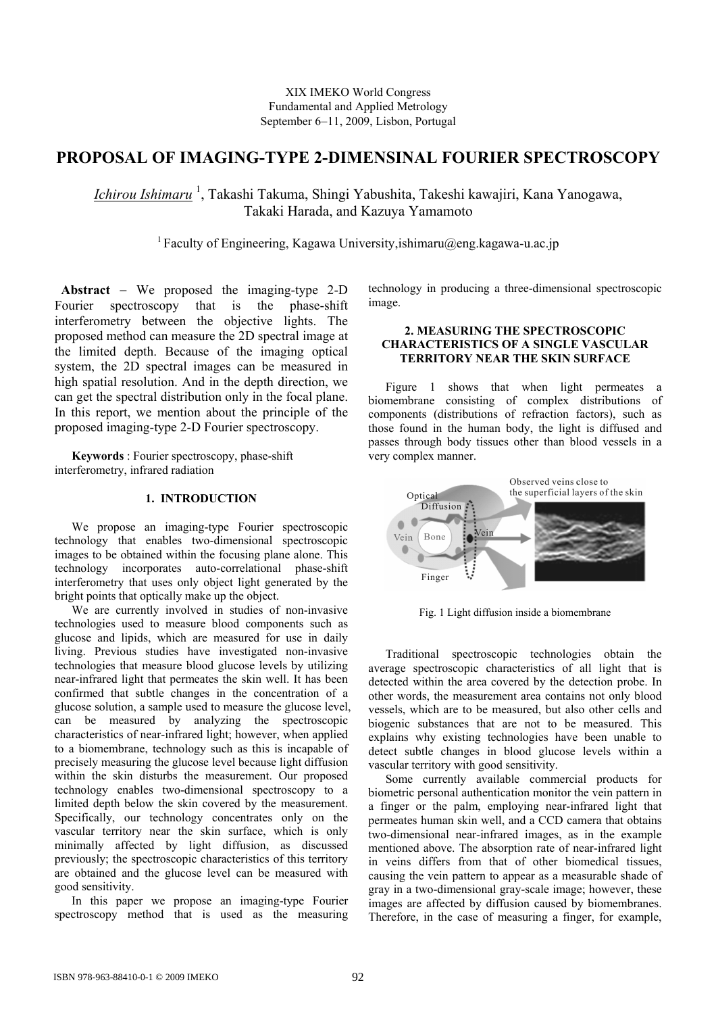XIX IMEKO World Congress Fundamental and Applied Metrology September 6−11, 2009, Lisbon, Portugal

# **PROPOSAL OF IMAGING-TYPE 2-DIMENSINAL FOURIER SPECTROSCOPY**

Ichirou Ishimaru<sup>1</sup>, Takashi Takuma, Shingi Yabushita, Takeshi kawajiri, Kana Yanogawa, Takaki Harada, and Kazuya Yamamoto

<sup>1</sup> Faculty of Engineering, Kagawa University, ishimaru@eng.kagawa-u.ac.jp

**Abstract** − We proposed the imaging-type 2-D Fourier spectroscopy that is the phase-shift interferometry between the objective lights. The proposed method can measure the 2D spectral image at the limited depth. Because of the imaging optical system, the 2D spectral images can be measured in high spatial resolution. And in the depth direction, we can get the spectral distribution only in the focal plane. In this report, we mention about the principle of the proposed imaging-type 2-D Fourier spectroscopy.

**Keywords** : Fourier spectroscopy, phase-shift interferometry, infrared radiation

## **1. INTRODUCTION**

We propose an imaging-type Fourier spectroscopic technology that enables two-dimensional spectroscopic images to be obtained within the focusing plane alone. This technology incorporates auto-correlational phase-shift interferometry that uses only object light generated by the bright points that optically make up the object.

We are currently involved in studies of non-invasive technologies used to measure blood components such as glucose and lipids, which are measured for use in daily living. Previous studies have investigated non-invasive technologies that measure blood glucose levels by utilizing near-infrared light that permeates the skin well. It has been confirmed that subtle changes in the concentration of a glucose solution, a sample used to measure the glucose level, can be measured by analyzing the spectroscopic characteristics of near-infrared light; however, when applied to a biomembrane, technology such as this is incapable of precisely measuring the glucose level because light diffusion within the skin disturbs the measurement. Our proposed technology enables two-dimensional spectroscopy to a limited depth below the skin covered by the measurement. Specifically, our technology concentrates only on the vascular territory near the skin surface, which is only minimally affected by light diffusion, as discussed previously; the spectroscopic characteristics of this territory are obtained and the glucose level can be measured with good sensitivity.

In this paper we propose an imaging-type Fourier spectroscopy method that is used as the measuring technology in producing a three-dimensional spectroscopic image.

## **2. MEASURING THE SPECTROSCOPIC CHARACTERISTICS OF A SINGLE VASCULAR TERRITORY NEAR THE SKIN SURFACE**

Figure 1 shows that when light permeates a biomembrane consisting of complex distributions of components (distributions of refraction factors), such as those found in the human body, the light is diffused and passes through body tissues other than blood vessels in a very complex manner.



Fig. 1 Light diffusion inside a biomembrane

Traditional spectroscopic technologies obtain the average spectroscopic characteristics of all light that is detected within the area covered by the detection probe. In other words, the measurement area contains not only blood vessels, which are to be measured, but also other cells and biogenic substances that are not to be measured. This explains why existing technologies have been unable to detect subtle changes in blood glucose levels within a vascular territory with good sensitivity.

Some currently available commercial products for biometric personal authentication monitor the vein pattern in a finger or the palm, employing near-infrared light that permeates human skin well, and a CCD camera that obtains two-dimensional near-infrared images, as in the example mentioned above. The absorption rate of near-infrared light in veins differs from that of other biomedical tissues, causing the vein pattern to appear as a measurable shade of gray in a two-dimensional gray-scale image; however, these images are affected by diffusion caused by biomembranes. Therefore, in the case of measuring a finger, for example,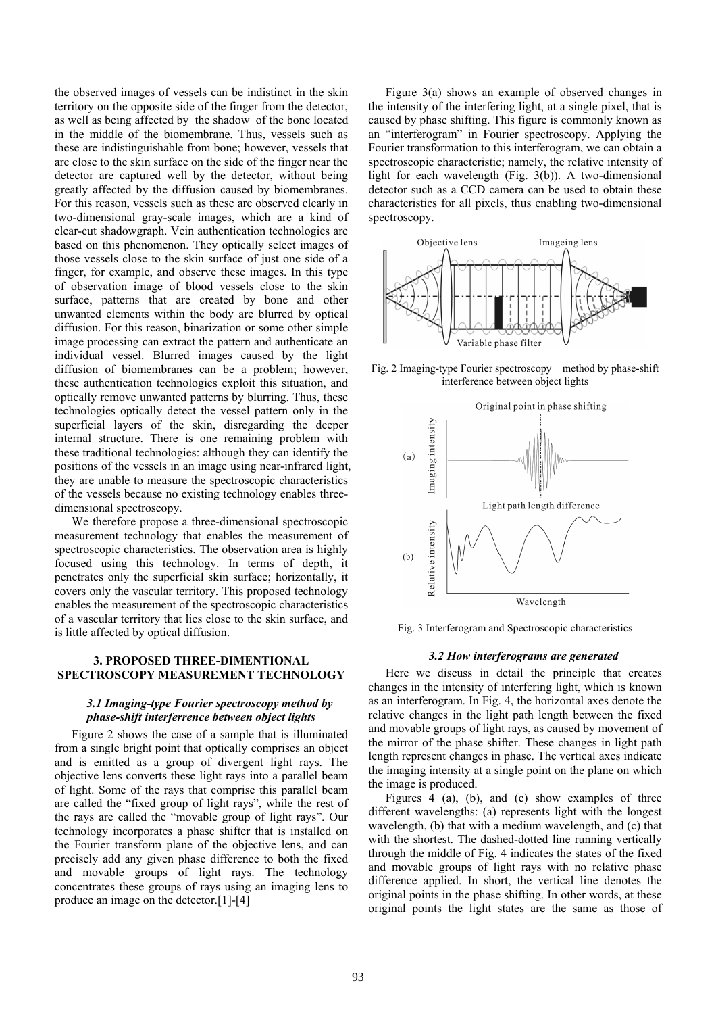the observed images of vessels can be indistinct in the skin territory on the opposite side of the finger from the detector, as well as being affected by the shadow of the bone located in the middle of the biomembrane. Thus, vessels such as these are indistinguishable from bone; however, vessels that are close to the skin surface on the side of the finger near the detector are captured well by the detector, without being greatly affected by the diffusion caused by biomembranes. For this reason, vessels such as these are observed clearly in two-dimensional gray-scale images, which are a kind of clear-cut shadowgraph. Vein authentication technologies are based on this phenomenon. They optically select images of those vessels close to the skin surface of just one side of a finger, for example, and observe these images. In this type of observation image of blood vessels close to the skin surface, patterns that are created by bone and other unwanted elements within the body are blurred by optical diffusion. For this reason, binarization or some other simple image processing can extract the pattern and authenticate an individual vessel. Blurred images caused by the light diffusion of biomembranes can be a problem; however, these authentication technologies exploit this situation, and optically remove unwanted patterns by blurring. Thus, these technologies optically detect the vessel pattern only in the superficial layers of the skin, disregarding the deeper internal structure. There is one remaining problem with these traditional technologies: although they can identify the positions of the vessels in an image using near-infrared light, they are unable to measure the spectroscopic characteristics of the vessels because no existing technology enables threedimensional spectroscopy.

We therefore propose a three-dimensional spectroscopic measurement technology that enables the measurement of spectroscopic characteristics. The observation area is highly focused using this technology. In terms of depth, it penetrates only the superficial skin surface; horizontally, it covers only the vascular territory. This proposed technology enables the measurement of the spectroscopic characteristics of a vascular territory that lies close to the skin surface, and is little affected by optical diffusion.

## **3. PROPOSED THREE-DIMENTIONAL SPECTROSCOPY MEASUREMENT TECHNOLOGY**

### *3.1 Imaging-type Fourier spectroscopy method by phase-shift interferrence between object lights*

Figure 2 shows the case of a sample that is illuminated from a single bright point that optically comprises an object and is emitted as a group of divergent light rays. The objective lens converts these light rays into a parallel beam of light. Some of the rays that comprise this parallel beam are called the "fixed group of light rays", while the rest of the rays are called the "movable group of light rays". Our technology incorporates a phase shifter that is installed on the Fourier transform plane of the objective lens, and can precisely add any given phase difference to both the fixed and movable groups of light rays. The technology concentrates these groups of rays using an imaging lens to produce an image on the detector.[1]-[4]

Figure 3(a) shows an example of observed changes in the intensity of the interfering light, at a single pixel, that is caused by phase shifting. This figure is commonly known as an "interferogram" in Fourier spectroscopy. Applying the Fourier transformation to this interferogram, we can obtain a spectroscopic characteristic; namely, the relative intensity of light for each wavelength (Fig. 3(b)). A two-dimensional detector such as a CCD camera can be used to obtain these characteristics for all pixels, thus enabling two-dimensional spectroscopy.



Fig. 2 Imaging-type Fourier spectroscopy method by phase-shift interference between object lights



Fig. 3 Interferogram and Spectroscopic characteristics

#### *3.2 How interferograms are generated*

Here we discuss in detail the principle that creates changes in the intensity of interfering light, which is known as an interferogram. In Fig. 4, the horizontal axes denote the relative changes in the light path length between the fixed and movable groups of light rays, as caused by movement of the mirror of the phase shifter. These changes in light path length represent changes in phase. The vertical axes indicate the imaging intensity at a single point on the plane on which the image is produced.

Figures 4 (a), (b), and (c) show examples of three different wavelengths: (a) represents light with the longest wavelength, (b) that with a medium wavelength, and (c) that with the shortest. The dashed-dotted line running vertically through the middle of Fig. 4 indicates the states of the fixed and movable groups of light rays with no relative phase difference applied. In short, the vertical line denotes the original points in the phase shifting. In other words, at these original points the light states are the same as those of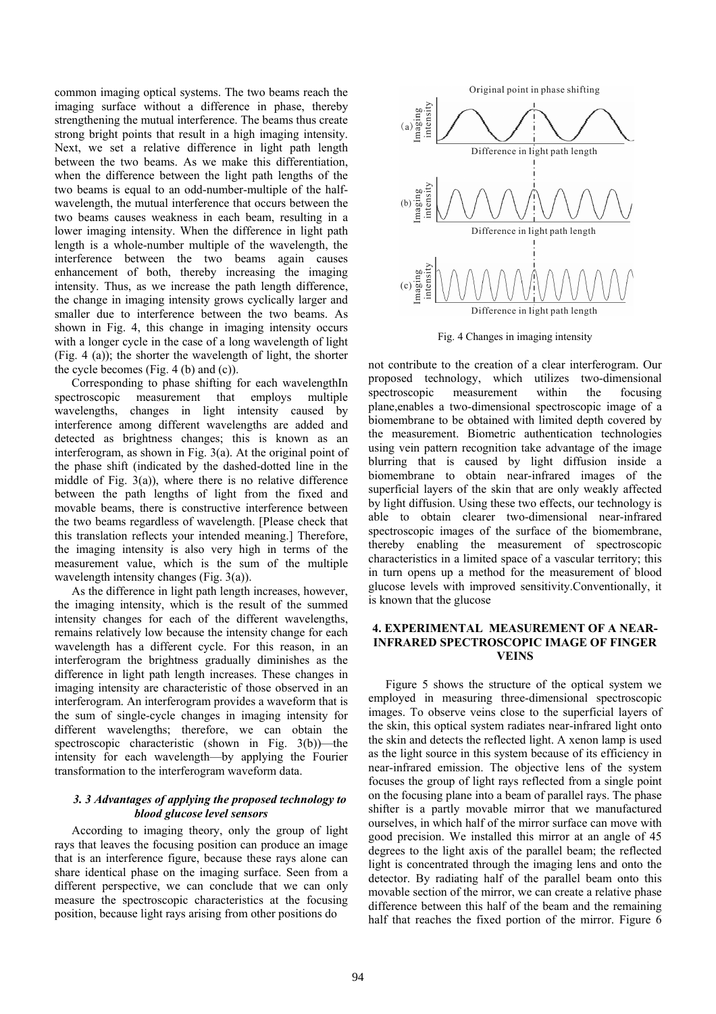common imaging optical systems. The two beams reach the imaging surface without a difference in phase, thereby strengthening the mutual interference. The beams thus create strong bright points that result in a high imaging intensity. Next, we set a relative difference in light path length between the two beams. As we make this differentiation, when the difference between the light path lengths of the two beams is equal to an odd-number-multiple of the halfwavelength, the mutual interference that occurs between the two beams causes weakness in each beam, resulting in a lower imaging intensity. When the difference in light path length is a whole-number multiple of the wavelength, the interference between the two beams again causes enhancement of both, thereby increasing the imaging intensity. Thus, as we increase the path length difference, the change in imaging intensity grows cyclically larger and smaller due to interference between the two beams. As shown in Fig. 4, this change in imaging intensity occurs with a longer cycle in the case of a long wavelength of light (Fig. 4 (a)); the shorter the wavelength of light, the shorter the cycle becomes (Fig. 4 (b) and (c)).

Corresponding to phase shifting for each wavelengthIn spectroscopic measurement that employs multiple wavelengths, changes in light intensity caused by interference among different wavelengths are added and detected as brightness changes; this is known as an interferogram, as shown in Fig. 3(a). At the original point of the phase shift (indicated by the dashed-dotted line in the middle of Fig.  $3(a)$ ), where there is no relative difference between the path lengths of light from the fixed and movable beams, there is constructive interference between the two beams regardless of wavelength. [Please check that this translation reflects your intended meaning.] Therefore, the imaging intensity is also very high in terms of the measurement value, which is the sum of the multiple wavelength intensity changes (Fig. 3(a)).

As the difference in light path length increases, however, the imaging intensity, which is the result of the summed intensity changes for each of the different wavelengths, remains relatively low because the intensity change for each wavelength has a different cycle. For this reason, in an interferogram the brightness gradually diminishes as the difference in light path length increases. These changes in imaging intensity are characteristic of those observed in an interferogram. An interferogram provides a waveform that is the sum of single-cycle changes in imaging intensity for different wavelengths; therefore, we can obtain the spectroscopic characteristic (shown in Fig. 3(b))—the intensity for each wavelength—by applying the Fourier transformation to the interferogram waveform data.

#### *3. 3 Advantages of applying the proposed technology to blood glucose level sensors*

According to imaging theory, only the group of light rays that leaves the focusing position can produce an image that is an interference figure, because these rays alone can share identical phase on the imaging surface. Seen from a different perspective, we can conclude that we can only measure the spectroscopic characteristics at the focusing position, because light rays arising from other positions do



Fig. 4 Changes in imaging intensity

not contribute to the creation of a clear interferogram. Our proposed technology, which utilizes two-dimensional spectroscopic measurement within the focusing plane,enables a two-dimensional spectroscopic image of a biomembrane to be obtained with limited depth covered by the measurement. Biometric authentication technologies using vein pattern recognition take advantage of the image blurring that is caused by light diffusion inside a biomembrane to obtain near-infrared images of the superficial layers of the skin that are only weakly affected by light diffusion. Using these two effects, our technology is able to obtain clearer two-dimensional near-infrared spectroscopic images of the surface of the biomembrane, thereby enabling the measurement of spectroscopic characteristics in a limited space of a vascular territory; this in turn opens up a method for the measurement of blood glucose levels with improved sensitivity.Conventionally, it is known that the glucose

## **4. EXPERIMENTAL MEASUREMENT OF A NEAR-INFRARED SPECTROSCOPIC IMAGE OF FINGER VEINS**

Figure 5 shows the structure of the optical system we employed in measuring three-dimensional spectroscopic images. To observe veins close to the superficial layers of the skin, this optical system radiates near-infrared light onto the skin and detects the reflected light. A xenon lamp is used as the light source in this system because of its efficiency in near-infrared emission. The objective lens of the system focuses the group of light rays reflected from a single point on the focusing plane into a beam of parallel rays. The phase shifter is a partly movable mirror that we manufactured ourselves, in which half of the mirror surface can move with good precision. We installed this mirror at an angle of 45 degrees to the light axis of the parallel beam; the reflected light is concentrated through the imaging lens and onto the detector. By radiating half of the parallel beam onto this movable section of the mirror, we can create a relative phase difference between this half of the beam and the remaining half that reaches the fixed portion of the mirror. Figure 6